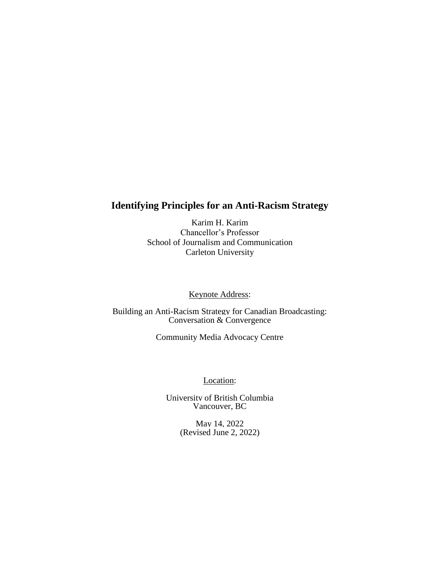# **Identifying Principles for an Anti-Racism Strategy**

Karim H. Karim Chancellor's Professor School of Journalism and Communication Carleton University

Keynote Address:

Building an Anti-Racism Strategy for Canadian Broadcasting: Conversation & Convergence

Community Media Advocacy Centre

Location:

University of British Columbia Vancouver, BC

> May 14, 2022 (Revised June 2, 2022)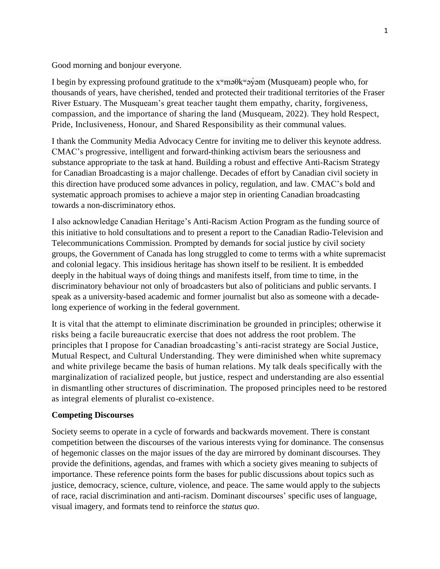Good morning and bonjour everyone.

I begin by expressing profound gratitude to the xʷməθkʷəy̓əm (Musqueam) people who, for thousands of years, have cherished, tended and protected their traditional territories of the Fraser River Estuary. The Musqueam's great teacher taught them empathy, charity, forgiveness, compassion, and the importance of sharing the land (Musqueam, 2022). They hold Respect, Pride, Inclusiveness, Honour, and Shared Responsibility as their communal values.

I thank the Community Media Advocacy Centre for inviting me to deliver this keynote address. CMAC's progressive, intelligent and forward-thinking activism bears the seriousness and substance appropriate to the task at hand. Building a robust and effective Anti-Racism Strategy for Canadian Broadcasting is a major challenge. Decades of effort by Canadian civil society in this direction have produced some advances in policy, regulation, and law. CMAC's bold and systematic approach promises to achieve a major step in orienting Canadian broadcasting towards a non-discriminatory ethos.

I also acknowledge Canadian Heritage's Anti-Racism Action Program as the funding source of this initiative to hold consultations and to present a report to the Canadian Radio-Television and Telecommunications Commission. Prompted by demands for social justice by civil society groups, the Government of Canada has long struggled to come to terms with a white supremacist and colonial legacy. This insidious heritage has shown itself to be resilient. It is embedded deeply in the habitual ways of doing things and manifests itself, from time to time, in the discriminatory behaviour not only of broadcasters but also of politicians and public servants. I speak as a university-based academic and former journalist but also as someone with a decadelong experience of working in the federal government.

It is vital that the attempt to eliminate discrimination be grounded in principles; otherwise it risks being a facile bureaucratic exercise that does not address the root problem. The principles that I propose for Canadian broadcasting's anti-racist strategy are Social Justice, Mutual Respect, and Cultural Understanding. They were diminished when white supremacy and white privilege became the basis of human relations. My talk deals specifically with the marginalization of racialized people, but justice, respect and understanding are also essential in dismantling other structures of discrimination. The proposed principles need to be restored as integral elements of pluralist co-existence.

#### **Competing Discourses**

Society seems to operate in a cycle of forwards and backwards movement. There is constant competition between the discourses of the various interests vying for dominance. The consensus of hegemonic classes on the major issues of the day are mirrored by dominant discourses. They provide the definitions, agendas, and frames with which a society gives meaning to subjects of importance. These reference points form the bases for public discussions about topics such as justice, democracy, science, culture, violence, and peace. The same would apply to the subjects of race, racial discrimination and anti-racism. Dominant discourses' specific uses of language, visual imagery, and formats tend to reinforce the *status quo*.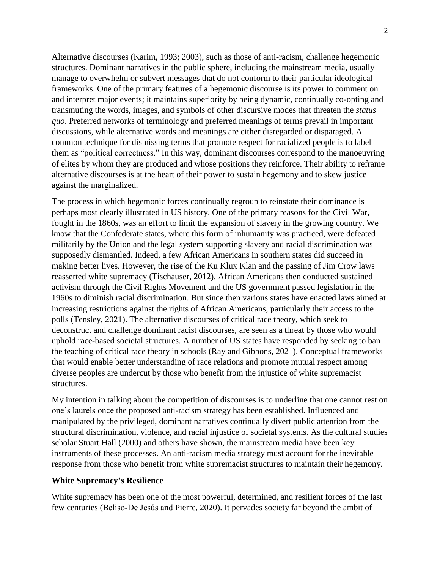Alternative discourses (Karim, 1993; 2003), such as those of anti-racism, challenge hegemonic structures. Dominant narratives in the public sphere, including the mainstream media, usually manage to overwhelm or subvert messages that do not conform to their particular ideological frameworks. One of the primary features of a hegemonic discourse is its power to comment on and interpret major events; it maintains superiority by being dynamic, continually co-opting and transmuting the words, images, and symbols of other discursive modes that threaten the *status quo*. Preferred networks of terminology and preferred meanings of terms prevail in important discussions, while alternative words and meanings are either disregarded or disparaged. A common technique for dismissing terms that promote respect for racialized people is to label them as "political correctness." In this way, dominant discourses correspond to the manoeuvring of elites by whom they are produced and whose positions they reinforce. Their ability to reframe alternative discourses is at the heart of their power to sustain hegemony and to skew justice against the marginalized.

The process in which hegemonic forces continually regroup to reinstate their dominance is perhaps most clearly illustrated in US history. One of the primary reasons for the Civil War, fought in the 1860s, was an effort to limit the expansion of slavery in the growing country. We know that the Confederate states, where this form of inhumanity was practiced, were defeated militarily by the Union and the legal system supporting slavery and racial discrimination was supposedly dismantled. Indeed, a few African Americans in southern states did succeed in making better lives. However, the rise of the Ku Klux Klan and the passing of Jim Crow laws reasserted white supremacy (Tischauser, 2012). African Americans then conducted sustained activism through the Civil Rights Movement and the US government passed legislation in the 1960s to diminish racial discrimination. But since then various states have enacted laws aimed at increasing restrictions against the rights of African Americans, particularly their access to the polls (Tensley, 2021). The alternative discourses of critical race theory, which seek to deconstruct and challenge dominant racist discourses, are seen as a threat by those who would uphold race-based societal structures. A number of US states have responded by seeking to ban the teaching of critical race theory in schools (Ray and Gibbons, 2021). Conceptual frameworks that would enable better understanding of race relations and promote mutual respect among diverse peoples are undercut by those who benefit from the injustice of white supremacist structures.

My intention in talking about the competition of discourses is to underline that one cannot rest on one's laurels once the proposed anti-racism strategy has been established. Influenced and manipulated by the privileged, dominant narratives continually divert public attention from the structural discrimination, violence, and racial injustice of societal systems. As the cultural studies scholar Stuart Hall (2000) and others have shown, the mainstream media have been key instruments of these processes. An anti-racism media strategy must account for the inevitable response from those who benefit from white supremacist structures to maintain their hegemony.

#### **White Supremacy's Resilience**

White supremacy has been one of the most powerful, determined, and resilient forces of the last few centuries (Beliso‐De Jesús and Pierre, 2020). It pervades society far beyond the ambit of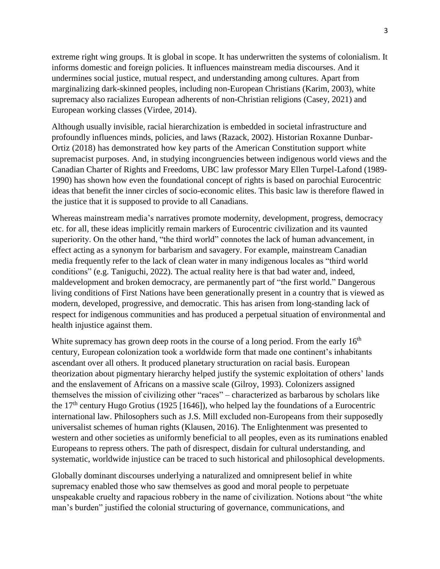extreme right wing groups. It is global in scope. It has underwritten the systems of colonialism. It informs domestic and foreign policies. It influences mainstream media discourses. And it undermines social justice, mutual respect, and understanding among cultures. Apart from marginalizing dark-skinned peoples, including non-European Christians (Karim, 2003), white supremacy also racializes European adherents of non-Christian religions (Casey, 2021) and European working classes (Virdee, 2014).

Although usually invisible, racial hierarchization is embedded in societal infrastructure and profoundly influences minds, policies, and laws (Razack, 2002). Historian Roxanne Dunbar-Ortiz (2018) has demonstrated how key parts of the American Constitution support white supremacist purposes. And, in studying incongruencies between indigenous world views and the Canadian Charter of Rights and Freedoms, UBC law professor Mary Ellen Turpel-Lafond (1989- 1990) has shown how even the foundational concept of rights is based on parochial Eurocentric ideas that benefit the inner circles of socio-economic elites. This basic law is therefore flawed in the justice that it is supposed to provide to all Canadians.

Whereas mainstream media's narratives promote modernity, development, progress, democracy etc. for all, these ideas implicitly remain markers of Eurocentric civilization and its vaunted superiority. On the other hand, "the third world" connotes the lack of human advancement, in effect acting as a synonym for barbarism and savagery. For example, mainstream Canadian media frequently refer to the lack of clean water in many indigenous locales as "third world conditions" (e.g. [Taniguchi,](https://edmontonjournal.com/author/ktaniguchi/) 2022). The actual reality here is that bad water and, indeed, maldevelopment and broken democracy, are permanently part of "the first world." Dangerous living conditions of First Nations have been generationally present in a country that is viewed as modern, developed, progressive, and democratic. This has arisen from long-standing lack of respect for indigenous communities and has produced a perpetual situation of environmental and health injustice against them.

White supremacy has grown deep roots in the course of a long period. From the early  $16<sup>th</sup>$ century, European colonization took a worldwide form that made one continent's inhabitants ascendant over all others. It produced planetary structuration on racial basis. European theorization about pigmentary hierarchy helped justify the systemic exploitation of others' lands and the enslavement of Africans on a massive scale (Gilroy, 1993). Colonizers assigned themselves the mission of civilizing other "races" – characterized as barbarous by scholars like the 17<sup>th</sup> century Hugo Grotius (1925 [1646]), who helped lay the foundations of a Eurocentric international law. Philosophers such as J.S. Mill excluded non-Europeans from their supposedly universalist schemes of human rights (Klausen, 2016). The Enlightenment was presented to western and other societies as uniformly beneficial to all peoples, even as its ruminations enabled Europeans to repress others. The path of disrespect, disdain for cultural understanding, and systematic, worldwide injustice can be traced to such historical and philosophical developments.

Globally dominant discourses underlying a naturalized and omnipresent belief in white supremacy enabled those who saw themselves as good and moral people to perpetuate unspeakable cruelty and rapacious robbery in the name of civilization. Notions about "the white man's burden" justified the colonial structuring of governance, communications, and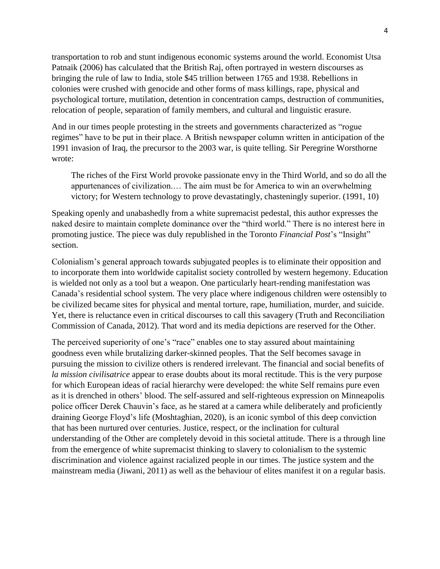transportation to rob and stunt indigenous economic systems around the world. Economist Utsa Patnaik (2006) has calculated that the British Raj, often portrayed in western discourses as bringing the rule of law to India, stole \$45 trillion between 1765 and 1938. Rebellions in colonies were crushed with genocide and other forms of mass killings, rape, physical and psychological torture, mutilation, detention in concentration camps, destruction of communities, relocation of people, separation of family members, and cultural and linguistic erasure.

And in our times people protesting in the streets and governments characterized as "rogue regimes" have to be put in their place. A British newspaper column written in anticipation of the 1991 invasion of Iraq, the precursor to the 2003 war, is quite telling. Sir Peregrine Worsthorne wrote:

The riches of the First World provoke passionate envy in the Third World, and so do all the appurtenances of civilization.… The aim must be for America to win an overwhelming victory; for Western technology to prove devastatingly, chasteningly superior. (1991, 10)

Speaking openly and unabashedly from a white supremacist pedestal, this author expresses the naked desire to maintain complete dominance over the "third world." There is no interest here in promoting justice. The piece was duly republished in the Toronto *Financial Post*'s "Insight" section.

Colonialism's general approach towards subjugated peoples is to eliminate their opposition and to incorporate them into worldwide capitalist society controlled by western hegemony. Education is wielded not only as a tool but a weapon. One particularly heart-rending manifestation was Canada's residential school system. The very place where indigenous children were ostensibly to be civilized became sites for physical and mental torture, rape, humiliation, murder, and suicide. Yet, there is reluctance even in critical discourses to call this savagery (Truth and Reconciliation Commission of Canada, 2012). That word and its media depictions are reserved for the Other.

The perceived superiority of one's "race" enables one to stay assured about maintaining goodness even while brutalizing darker-skinned peoples. That the Self becomes savage in pursuing the mission to civilize others is rendered irrelevant. The financial and social benefits of *la mission civilisatrice* appear to erase doubts about its moral rectitude. This is the very purpose for which European ideas of racial hierarchy were developed: the white Self remains pure even as it is drenched in others' blood. The self-assured and self-righteous expression on Minneapolis police officer Derek Chauvin's face, as he stared at a camera while deliberately and proficiently draining George Floyd's life [\(Moshtaghian,](https://www.cnn.com/profiles/artemis-moshtaghian) 2020), is an iconic symbol of this deep conviction that has been nurtured over centuries. Justice, respect, or the inclination for cultural understanding of the Other are completely devoid in this societal attitude. There is a through line from the emergence of white supremacist thinking to slavery to colonialism to the systemic discrimination and violence against racialized people in our times. The justice system and the mainstream media (Jiwani, 2011) as well as the behaviour of elites manifest it on a regular basis.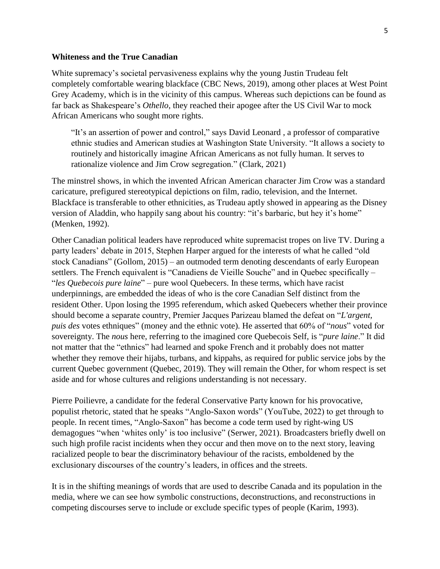#### **Whiteness and the True Canadian**

White supremacy's societal pervasiveness explains why the young Justin Trudeau felt completely comfortable wearing blackface (CBC News, 2019), among other places at West Point Grey Academy, which is in the vicinity of this campus. Whereas such depictions can be found as far back as Shakespeare's *Othello*, they reached their apogee after the US Civil War to mock African Americans who sought more rights.

"It's an assertion of power and control," says [David Leonard](https://slcr.wsu.edu/faculty/david-leonard/) , a professor of comparative ethnic studies and American studies at Washington State University. "It allows a society to routinely and historically imagine African Americans as not fully human. It serves to rationalize violence and [Jim Crow](https://www.history.com/topics/early-20th-century-us/jim-crow-laws) segregation." (Clark, 2021)

The minstrel shows, in which the invented African American character Jim Crow was a standard caricature, prefigured stereotypical depictions on film, radio, television, and the Internet. Blackface is transferable to other ethnicities, as Trudeau aptly showed in appearing as the Disney version of Aladdin, who happily sang about his country: "it's barbaric, but hey it's home" (Menken, 1992).

Other Canadian political leaders have reproduced white supremacist tropes on live TV. During a party leaders' debate in 2015, Stephen Harper argued for the interests of what he called "old stock Canadians" (Gollom, 2015) – an outmoded term denoting descendants of early European settlers. The French equivalent is "Canadiens de Vieille Souche" and in Quebec specifically -"*les Quebecois pure laine*" – pure wool Quebecers. In these terms, which have racist underpinnings, are embedded the ideas of who is the core Canadian Self distinct from the resident Other. Upon losing the 1995 referendum, which asked Quebecers whether their province should become a separate country, Premier Jacques Parizeau blamed the defeat on "*L'argent, puis des* votes ethniques" (money and the ethnic vote). He asserted that 60% of "*nous*" voted for sovereignty. The *nous* here, referring to the imagined core Quebecois Self, is "*pure laine*." It did not matter that the "ethnics" had learned and spoke French and it probably does not matter whether they remove their hijabs, turbans, and kippahs, as required for public service jobs by the current Quebec government (Quebec, 2019). They will remain the Other, for whom respect is set aside and for whose cultures and religions understanding is not necessary.

Pierre Poilievre, a candidate for the federal Conservative Party known for his provocative, populist rhetoric, stated that he speaks "Anglo-Saxon words" (YouTube, 2022) to get through to people. In recent times, "Anglo-Saxon" has become a code term used by right-wing US demagogues "when 'whites only' is too inclusive" (Serwer, 2021). Broadcasters briefly dwell on such high profile racist incidents when they occur and then move on to the next story, leaving racialized people to bear the discriminatory behaviour of the racists, emboldened by the exclusionary discourses of the country's leaders, in offices and the streets.

It is in the shifting meanings of words that are used to describe Canada and its population in the media, where we can see how symbolic constructions, deconstructions, and reconstructions in competing discourses serve to include or exclude specific types of people (Karim, 1993).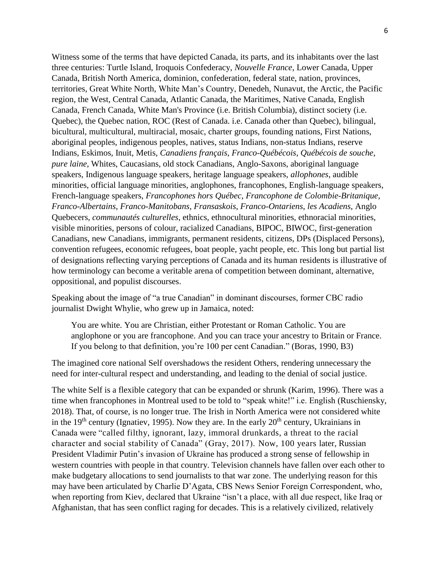Witness some of the terms that have depicted Canada, its parts, and its inhabitants over the last three centuries: Turtle Island, Iroquois Confederacy, *Nouvelle France*, Lower Canada, Upper Canada, British North America, dominion, confederation, federal state, nation, provinces, territories, Great White North, White Man's Country, Denedeh, Nunavut, the Arctic, the Pacific region, the West, Central Canada, Atlantic Canada, the Maritimes, Native Canada, English Canada, French Canada, White Man's Province (i.e. British Columbia), distinct society (i.e. Quebec), the Quebec nation, ROC (Rest of Canada. i.e. Canada other than Quebec), bilingual, bicultural, multicultural, multiracial, mosaic, charter groups, founding nations, First Nations, aboriginal peoples, indigenous peoples, natives, status Indians, non-status Indians, reserve Indians, Eskimos, Inuit, Metis, *Canadiens français*, *Franco-Québécois*, *Québécois de souche*, *pure laine*, Whites, Caucasians, old stock Canadians, Anglo-Saxons, aboriginal language speakers, Indigenous language speakers, heritage language speakers, *allophones*, audible minorities, official language minorities, anglophones, francophones, English-language speakers, French-language speakers, *Francophones hors Québec*, *Francophone de Colombie-Britanique*, *Franco-Albertains*, *Franco-Manitobans*, *Fransaskois*, *Franco-Ontariens*, *les Acadiens*, Anglo Quebecers, *communautés culturelles*, ethnics, ethnocultural minorities, ethnoracial minorities, visible minorities, persons of colour, racialized Canadians, BIPOC, BIWOC, first-generation Canadians, new Canadians, immigrants, permanent residents, citizens, DPs (Displaced Persons), convention refugees, economic refugees, boat people, yacht people, etc. This long but partial list of designations reflecting varying perceptions of Canada and its human residents is illustrative of how terminology can become a veritable arena of competition between dominant, alternative, oppositional, and populist discourses.

Speaking about the image of "a true Canadian" in dominant discourses, former CBC radio journalist Dwight Whylie, who grew up in Jamaica, noted:

You are white. You are Christian, either Protestant or Roman Catholic. You are anglophone or you are francophone. And you can trace your ancestry to Britain or France. If you belong to that definition, you're 100 per cent Canadian." (Boras, 1990, B3)

The imagined core national Self overshadows the resident Others, rendering unnecessary the need for inter-cultural respect and understanding, and leading to the denial of social justice.

The white Self is a flexible category that can be expanded or shrunk (Karim, 1996). There was a time when francophones in Montreal used to be told to "speak white!" i.e. English (Ruschiensky, 2018). That, of course, is no longer true. The Irish in North America were not considered white in the 19<sup>th</sup> century (Ignatiev, 1995). Now they are. In the early  $20<sup>th</sup>$  century, Ukrainians in Canada were "called filthy, ignorant, lazy, immoral drunkards, a threat to the racial character and social stability of Canada" (Gray, 2017). Now, 100 years later, Russian President Vladimir Putin's invasion of Ukraine has produced a strong sense of fellowship in western countries with people in that country. Television channels have fallen over each other to make budgetary allocations to send journalists to that war zone. The underlying reason for this may have been articulated by Charlie D'Agata, CBS News Senior Foreign Correspondent, who, when reporting from Kiev, declared that Ukraine "isn't a place, with all due respect, like Iraq or Afghanistan, that has seen conflict raging for decades. This is a relatively civilized, relatively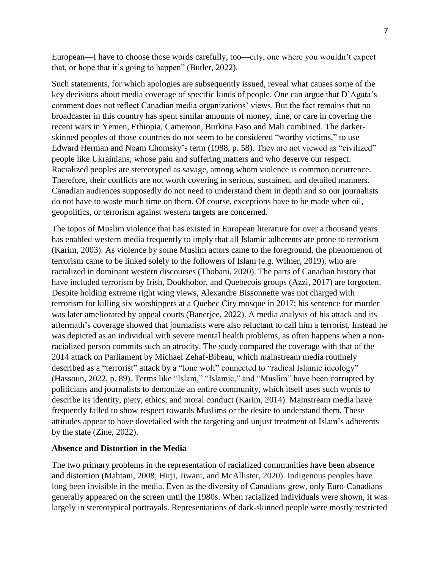European—I have to choose those words carefully, too—city, one where you wouldn't expect that, or hope that it's going to happen" (Butler, 2022).

Such statements, for which apologies are subsequently issued, reveal what causes some of the key decisions about media coverage of specific kinds of people. One can argue that D'Agata's comment does not reflect Canadian media organizations' views. But the fact remains that no broadcaster in this country has spent similar amounts of money, time, or care in covering the recent wars in Yemen, Ethiopia, Cameroon, Burkina Faso and Mali combined. The darkerskinned peoples of those countries do not seem to be considered "worthy victims," to use Edward Herman and Noam Chomsky's term (1988, p. 58). They are not viewed as "civilized" people like Ukrainians, whose pain and suffering matters and who deserve our respect. Racialized peoples are stereotyped as savage, among whom violence is common occurrence. Therefore, their conflicts are not worth covering in serious, sustained, and detailed manners. Canadian audiences supposedly do not need to understand them in depth and so our journalists do not have to waste much time on them. Of course, exceptions have to be made when oil, geopolitics, or terrorism against western targets are concerned.

The topos of Muslim violence that has existed in European literature for over a thousand years has enabled western media frequently to imply that all Islamic adherents are prone to terrorism (Karim, 2003). As violence by some Muslim actors came to the foreground, the phenomenon of terrorism came to be linked solely to the followers of Islam (e.g. Wilner, 2019), who are racialized in dominant western discourses (Thobani, 2020). The parts of Canadian history that have included terrorism by Irish, Doukhobor, and Quebecois groups (Azzi, 2017) are forgotten. Despite holding extreme right wing views, Alexandre Bissonnette was not charged with terrorism for killing six worshippers at a Quebec City mosque in 2017; his sentence for murder was later ameliorated by appeal courts (Banerjee, 2022). A media analysis of his attack and its aftermath's coverage showed that journalists were also reluctant to call him a terrorist. Instead he was depicted as an individual with severe mental health problems, as often happens when a nonracialized person commits such an atrocity. The study compared the coverage with that of the 2014 attack on Parliament by Michael Zehaf-Bibeau, which mainstream media routinely described as a "terrorist" attack by a "lone wolf" connected to "radical Islamic ideology" (Hassoun, 2022, p. 89). Terms like "Islam," "Islamic," and "Muslim" have been corrupted by politicians and journalists to demonize an entire community, which itself uses such words to describe its identity, piety, ethics, and moral conduct (Karim, 2014). Mainstream media have frequently failed to show respect towards Muslims or the desire to understand them. These attitudes appear to have dovetailed with the targeting and unjust treatment of Islam's adherents by the state (Zine, 2022).

#### **Absence and Distortion in the Media**

The two primary problems in the representation of racialized communities have been absence and distortion (Mahtani, 2008; Hirji, Jiwani, and McAllister, 2020). Indigenous peoples have long been invisible in the media. Even as the diversity of Canadians grew, only Euro-Canadians generally appeared on the screen until the 1980s. When racialized individuals were shown, it was largely in stereotypical portrayals. Representations of dark-skinned people were mostly restricted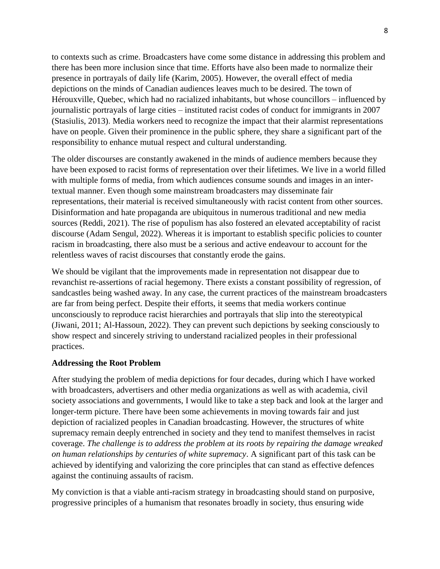to contexts such as crime. Broadcasters have come some distance in addressing this problem and there has been more inclusion since that time. Efforts have also been made to normalize their presence in portrayals of daily life (Karim, 2005). However, the overall effect of media depictions on the minds of Canadian audiences leaves much to be desired. The town of Hérouxville, Quebec, which had no racialized inhabitants, but whose councillors – influenced by journalistic portrayals of large cities – instituted racist codes of conduct for immigrants in 2007 (Stasiulis, 2013). Media workers need to recognize the impact that their alarmist representations have on people. Given their prominence in the public sphere, they share a significant part of the responsibility to enhance mutual respect and cultural understanding.

The older discourses are constantly awakened in the minds of audience members because they have been exposed to racist forms of representation over their lifetimes. We live in a world filled with multiple forms of media, from which audiences consume sounds and images in an intertextual manner. Even though some mainstream broadcasters may disseminate fair representations, their material is received simultaneously with racist content from other sources. Disinformation and hate propaganda are ubiquitous in numerous traditional and new media sources (Reddi, 2021). The rise of populism has also fostered an elevated acceptability of racist discourse (Adam Sengul, 2022). Whereas it is important to establish specific policies to counter racism in broadcasting, there also must be a serious and active endeavour to account for the relentless waves of racist discourses that constantly erode the gains.

We should be vigilant that the improvements made in representation not disappear due to revanchist re-assertions of racial hegemony. There exists a constant possibility of regression, of sandcastles being washed away. In any case, the current practices of the mainstream broadcasters are far from being perfect. Despite their efforts, it seems that media workers continue unconsciously to reproduce racist hierarchies and portrayals that slip into the stereotypical (Jiwani, 2011; Al-Hassoun, 2022). They can prevent such depictions by seeking consciously to show respect and sincerely striving to understand racialized peoples in their professional practices.

#### **Addressing the Root Problem**

After studying the problem of media depictions for four decades, during which I have worked with broadcasters, advertisers and other media organizations as well as with academia, civil society associations and governments, I would like to take a step back and look at the larger and longer-term picture. There have been some achievements in moving towards fair and just depiction of racialized peoples in Canadian broadcasting. However, the structures of white supremacy remain deeply entrenched in society and they tend to manifest themselves in racist coverage. *The challenge is to address the problem at its roots by repairing the damage wreaked on human relationships by centuries of white supremacy*. A significant part of this task can be achieved by identifying and valorizing the core principles that can stand as effective defences against the continuing assaults of racism.

My conviction is that a viable anti-racism strategy in broadcasting should stand on purposive, progressive principles of a humanism that resonates broadly in society, thus ensuring wide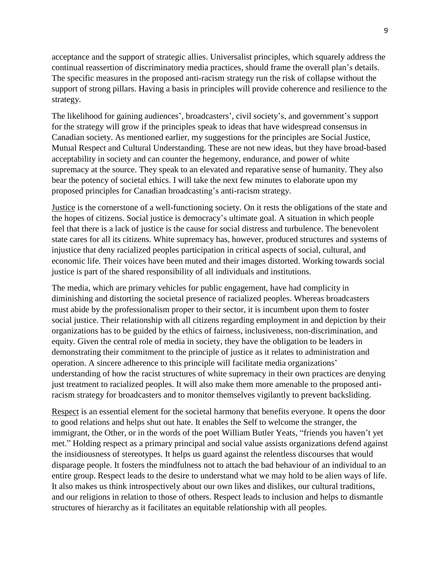acceptance and the support of strategic allies. Universalist principles, which squarely address the continual reassertion of discriminatory media practices, should frame the overall plan's details. The specific measures in the proposed anti-racism strategy run the risk of collapse without the support of strong pillars. Having a basis in principles will provide coherence and resilience to the strategy.

The likelihood for gaining audiences', broadcasters', civil society's, and government's support for the strategy will grow if the principles speak to ideas that have widespread consensus in Canadian society. As mentioned earlier, my suggestions for the principles are Social Justice, Mutual Respect and Cultural Understanding. These are not new ideas, but they have broad-based acceptability in society and can counter the hegemony, endurance, and power of white supremacy at the source. They speak to an elevated and reparative sense of humanity. They also bear the potency of societal ethics. I will take the next few minutes to elaborate upon my proposed principles for Canadian broadcasting's anti-racism strategy.

Justice is the cornerstone of a well-functioning society. On it rests the obligations of the state and the hopes of citizens. Social justice is democracy's ultimate goal. A situation in which people feel that there is a lack of justice is the cause for social distress and turbulence. The benevolent state cares for all its citizens. White supremacy has, however, produced structures and systems of injustice that deny racialized peoples participation in critical aspects of social, cultural, and economic life. Their voices have been muted and their images distorted. Working towards social justice is part of the shared responsibility of all individuals and institutions.

The media, which are primary vehicles for public engagement, have had complicity in diminishing and distorting the societal presence of racialized peoples. Whereas broadcasters must abide by the professionalism proper to their sector, it is incumbent upon them to foster social justice. Their relationship with all citizens regarding employment in and depiction by their organizations has to be guided by the ethics of fairness, inclusiveness, non-discrimination, and equity. Given the central role of media in society, they have the obligation to be leaders in demonstrating their commitment to the principle of justice as it relates to administration and operation. A sincere adherence to this principle will facilitate media organizations' understanding of how the racist structures of white supremacy in their own practices are denying just treatment to racialized peoples. It will also make them more amenable to the proposed antiracism strategy for broadcasters and to monitor themselves vigilantly to prevent backsliding.

Respect is an essential element for the societal harmony that benefits everyone. It opens the door to good relations and helps shut out hate. It enables the Self to welcome the stranger, the immigrant, the Other, or in the words of the poet William Butler Yeats, "friends you haven't yet met." Holding respect as a primary principal and social value assists organizations defend against the insidiousness of stereotypes. It helps us guard against the relentless discourses that would disparage people. It fosters the mindfulness not to attach the bad behaviour of an individual to an entire group. Respect leads to the desire to understand what we may hold to be alien ways of life. It also makes us think introspectively about our own likes and dislikes, our cultural traditions, and our religions in relation to those of others. Respect leads to inclusion and helps to dismantle structures of hierarchy as it facilitates an equitable relationship with all peoples.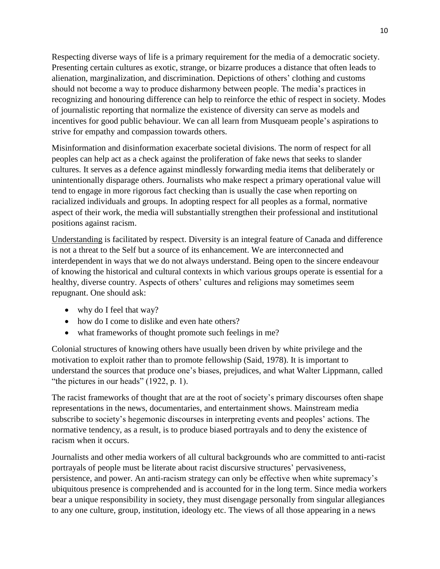Respecting diverse ways of life is a primary requirement for the media of a democratic society. Presenting certain cultures as exotic, strange, or bizarre produces a distance that often leads to alienation, marginalization, and discrimination. Depictions of others' clothing and customs should not become a way to produce disharmony between people. The media's practices in recognizing and honouring difference can help to reinforce the ethic of respect in society. Modes of journalistic reporting that normalize the existence of diversity can serve as models and incentives for good public behaviour. We can all learn from Musqueam people's aspirations to strive for empathy and compassion towards others.

Misinformation and disinformation exacerbate societal divisions. The norm of respect for all peoples can help act as a check against the proliferation of fake news that seeks to slander cultures. It serves as a defence against mindlessly forwarding media items that deliberately or unintentionally disparage others. Journalists who make respect a primary operational value will tend to engage in more rigorous fact checking than is usually the case when reporting on racialized individuals and groups. In adopting respect for all peoples as a formal, normative aspect of their work, the media will substantially strengthen their professional and institutional positions against racism.

Understanding is facilitated by respect. Diversity is an integral feature of Canada and difference is not a threat to the Self but a source of its enhancement. We are interconnected and interdependent in ways that we do not always understand. Being open to the sincere endeavour of knowing the historical and cultural contexts in which various groups operate is essential for a healthy, diverse country. Aspects of others' cultures and religions may sometimes seem repugnant. One should ask:

- why do I feel that way?
- how do I come to dislike and even hate others?
- what frameworks of thought promote such feelings in me?

Colonial structures of knowing others have usually been driven by white privilege and the motivation to exploit rather than to promote fellowship (Said, 1978). It is important to understand the sources that produce one's biases, prejudices, and what Walter Lippmann, called "the pictures in our heads" (1922, p. 1).

The racist frameworks of thought that are at the root of society's primary discourses often shape representations in the news, documentaries, and entertainment shows. Mainstream media subscribe to society's hegemonic discourses in interpreting events and peoples' actions. The normative tendency, as a result, is to produce biased portrayals and to deny the existence of racism when it occurs.

Journalists and other media workers of all cultural backgrounds who are committed to anti-racist portrayals of people must be literate about racist discursive structures' pervasiveness, persistence, and power. An anti-racism strategy can only be effective when white supremacy's ubiquitous presence is comprehended and is accounted for in the long term. Since media workers bear a unique responsibility in society, they must disengage personally from singular allegiances to any one culture, group, institution, ideology etc. The views of all those appearing in a news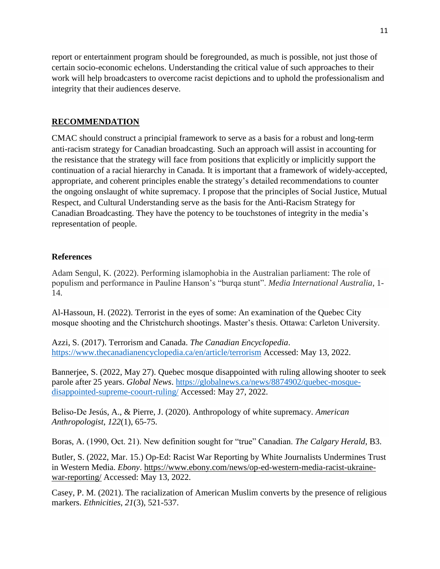report or entertainment program should be foregrounded, as much is possible, not just those of certain socio-economic echelons. Understanding the critical value of such approaches to their work will help broadcasters to overcome racist depictions and to uphold the professionalism and integrity that their audiences deserve.

## **RECOMMENDATION**

CMAC should construct a principial framework to serve as a basis for a robust and long-term anti-racism strategy for Canadian broadcasting. Such an approach will assist in accounting for the resistance that the strategy will face from positions that explicitly or implicitly support the continuation of a racial hierarchy in Canada. It is important that a framework of widely-accepted, appropriate, and coherent principles enable the strategy's detailed recommendations to counter the ongoing onslaught of white supremacy. I propose that the principles of Social Justice, Mutual Respect, and Cultural Understanding serve as the basis for the Anti-Racism Strategy for Canadian Broadcasting. They have the potency to be touchstones of integrity in the media's representation of people.

### **References**

Adam Sengul, K. (2022). Performing islamophobia in the Australian parliament: The role of populism and performance in Pauline Hanson's "burqa stunt". *Media International Australia*, 1- 14.

Al-Hassoun, H. (2022). Terrorist in the eyes of some: An examination of the Quebec City mosque shooting and the Christchurch shootings. Master's thesis. Ottawa: Carleton University.

Azzi, S. (2017). Terrorism and Canada. *The Canadian Encyclopedia*. <https://www.thecanadianencyclopedia.ca/en/article/terrorism> Accessed: May 13, 2022.

Bannerjee, S. (2022, May 27). Quebec mosque disappointed with ruling allowing shooter to seek parole after 25 years. *Global News*. [https://globalnews.ca/news/8874902/quebec-mosque](https://globalnews.ca/news/8874902/quebec-mosque-disappointed-supreme-coourt-ruling/)[disappointed-supreme-coourt-ruling/](https://globalnews.ca/news/8874902/quebec-mosque-disappointed-supreme-coourt-ruling/) Accessed: May 27, 2022.

Beliso‐De Jesús, A., & Pierre, J. (2020). Anthropology of white supremacy. *American Anthropologist*, *122*(1), 65-75.

Boras, A. (1990, Oct. 21). New definition sought for "true" Canadian. *The Calgary Herald*, B3.

Butler, S. (2022, Mar. 15.) Op-Ed: Racist War Reporting by White Journalists Undermines Trust in Western Media. *Ebony*. [https://www.ebony.com/news/op-ed-western-media-racist-ukraine](https://www.ebony.com/news/op-ed-western-media-racist-ukraine-war-reporting/)[war-reporting/](https://www.ebony.com/news/op-ed-western-media-racist-ukraine-war-reporting/) Accessed: May 13, 2022.

Casey, P. M. (2021). The racialization of American Muslim converts by the presence of religious markers. *Ethnicities*, *21*(3), 521-537.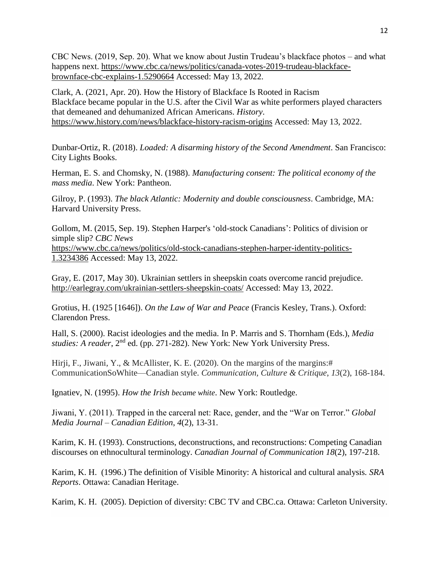CBC News. (2019, Sep. 20). What we know about Justin Trudeau's blackface photos – and what happens next. [https://www.cbc.ca/news/politics/canada-votes-2019-trudeau-blackface](https://www.cbc.ca/news/politics/canada-votes-2019-trudeau-blackface-brownface-cbc-explains-1.5290664)[brownface-cbc-explains-1.5290664](https://www.cbc.ca/news/politics/canada-votes-2019-trudeau-blackface-brownface-cbc-explains-1.5290664) Accessed: May 13, 2022.

[Clark, A. \(2](https://www.history.com/author/alexis-clark)021, Apr. 20). How the History of Blackface Is Rooted in Racism Blackface became popular in the U.S. after the Civil War as white performers played characters that demeaned and dehumanized African Americans. *History*. <https://www.history.com/news/blackface-history-racism-origins> Accessed: May 13, 2022.

Dunbar-Ortiz, R. (2018). *Loaded: A disarming history of the Second Amendment*. San Francisco: City Lights Books.

Herman, E. S. and Chomsky, N. (1988). *Manufacturing consent: The political economy of the mass media*. New York: Pantheon.

Gilroy, P. (1993). *The black Atlantic: Modernity and double consciousness*. Cambridge, MA: Harvard University Press.

Gollom, M. (2015, Sep. 19). Stephen Harper's 'old-stock Canadians': Politics of division or simple slip? *CBC News* [https://www.cbc.ca/news/politics/old-stock-canadians-stephen-harper-identity-politics-](https://www.cbc.ca/news/politics/old-stock-canadians-stephen-harper-identity-politics-1.3234386)[1.3234386](https://www.cbc.ca/news/politics/old-stock-canadians-stephen-harper-identity-politics-1.3234386) Accessed: May 13, 2022.

Gray, E. (2017, May 30). Ukrainian settlers in sheepskin coats overcome rancid prejudice. <http://earlegray.com/ukrainian-settlers-sheepskin-coats/> Accessed: May 13, 2022.

Grotius, H. (1925 [1646]). *On the Law of War and Peace* (Francis Kesley, Trans.). Oxford: Clarendon Press.

Hall, S. (2000). Racist ideologies and the media. In P. Marris and S. Thornham (Eds.), *Media*  studies: A reader, 2<sup>nd</sup> ed. (pp. 271-282). New York: New York University Press.

Hirji, F., Jiwani, Y., & McAllister, K. E. (2020). On the margins of the margins:# CommunicationSoWhite—Canadian style. *Communication, Culture & Critique*, *13*(2), 168-184.

Ignatiev, N. (1995). *How the Irish became white*. New York: Routledge.

Jiwani, Y. (2011). Trapped in the carceral net: Race, gender, and the "War on Terror." *Global Media Journal – Canadian Edition*, *4*(2), 13-31.

Karim, K. H. (1993). Constructions, deconstructions, and reconstructions: Competing Canadian discourses on ethnocultural terminology. *Canadian Journal of Communication 18*(2), 197-218.

Karim, K. H. (1996.) The definition of Visible Minority: A historical and cultural analysis*. SRA Reports*. Ottawa: Canadian Heritage.

Karim, K. H. (2005). Depiction of diversity: CBC TV and CBC.ca. Ottawa: Carleton University.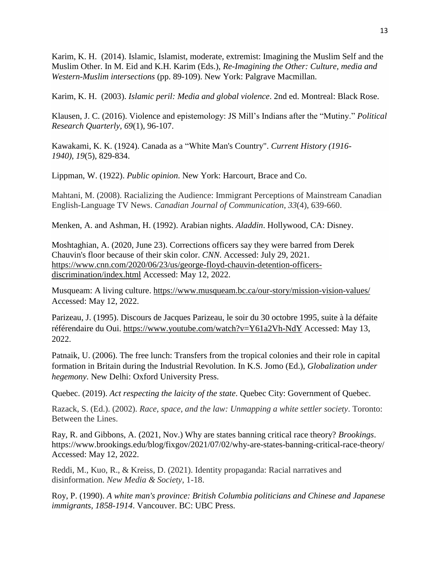Karim, K. H. (2014). Islamic, Islamist, moderate, extremist: Imagining the Muslim Self and the Muslim Other. In M. Eid and K.H. Karim (Eds.), *Re-Imagining the Other: Culture, media and Western-Muslim intersections* (pp. 89-109). New York: Palgrave Macmillan.

Karim, K. H. (2003). *Islamic peril: Media and global violence*. 2nd ed. Montreal: Black Rose.

Klausen, J. C. (2016). Violence and epistemology: JS Mill's Indians after the "Mutiny." *Political Research Quarterly*, *69*(1), 96-107.

Kawakami, K. K. (1924). Canada as a "White Man's Country". *Current History (1916- 1940)*, *19*(5), 829-834.

Lippman, W. (1922). *Public opinion*. New York: Harcourt, Brace and Co.

Mahtani, M. (2008). Racializing the Audience: Immigrant Perceptions of Mainstream Canadian English-Language TV News. *Canadian Journal of Communication*, *33*(4), 639-660.

Menken, A. and Ashman, H. (1992). Arabian nights. *Aladdin*. Hollywood, CA: Disney.

[Moshtaghian,](https://www.cnn.com/profiles/artemis-moshtaghian) A. (2020, June 23). Corrections officers say they were barred from Derek Chauvin's floor because of their skin color. *CNN*. Accessed: July 29, 2021. [https://www.cnn.com/2020/06/23/us/george-floyd-chauvin-detention-officers](https://www.cnn.com/2020/06/23/us/george-floyd-chauvin-detention-officers-discrimination/index.html)[discrimination/index.html](https://www.cnn.com/2020/06/23/us/george-floyd-chauvin-detention-officers-discrimination/index.html) Accessed: May 12, 2022.

Musqueam: A living culture.<https://www.musqueam.bc.ca/our-story/mission-vision-values/> Accessed: May 12, 2022.

Parizeau, J. (1995). Discours de Jacques Parizeau, le soir du 30 octobre 1995, suite à la défaite référendaire du Oui.<https://www.youtube.com/watch?v=Y61a2Vh-NdY> Accessed: May 13, 2022.

Patnaik, U. (2006). The free lunch: Transfers from the tropical colonies and their role in capital formation in Britain during the Industrial Revolution. In K.S. Jomo (Ed.), *Globalization under hegemony*. New Delhi: Oxford University Press.

Quebec. (2019). *Act respecting the laicity of the state*. Quebec City: Government of Quebec.

Razack, S. (Ed.). (2002). *Race, space, and the law: Unmapping a white settler society*. Toronto: Between the Lines.

Ray, R. and Gibbons, A. (2021, Nov.) Why are states banning critical race theory? *Brookings*. https://www.brookings.edu/blog/fixgov/2021/07/02/why-are-states-banning-critical-race-theory/ Accessed: May 12, 2022.

Reddi, M., Kuo, R., & Kreiss, D. (2021). Identity propaganda: Racial narratives and disinformation. *New Media & Society*, 1-18.

Roy, P. (1990). *A white man's province: British Columbia politicians and Chinese and Japanese immigrants, 1858-1914*. Vancouver. BC: UBC Press.